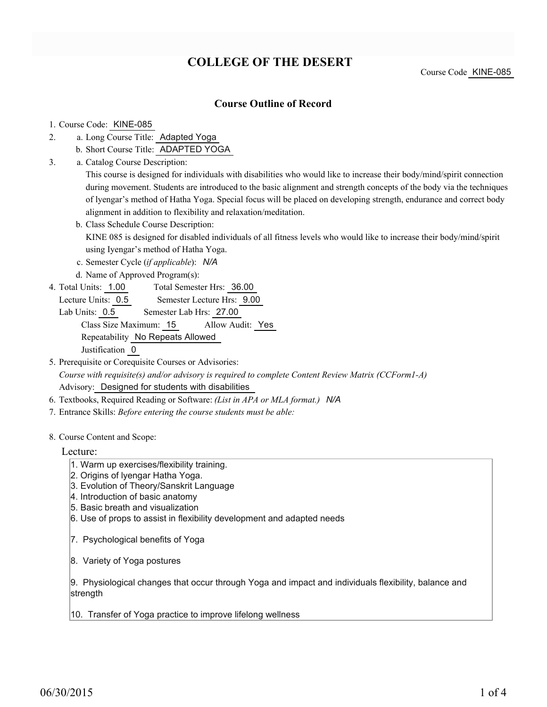# **COLLEGE OF THE DESERT**

### **Course Outline of Record**

#### 1. Course Code: KINE-085

- a. Long Course Title: Adapted Yoga 2.
	- b. Short Course Title: ADAPTED YOGA
- Catalog Course Description: a. 3.

This course is designed for individuals with disabilities who would like to increase their body/mind/spirit connection during movement. Students are introduced to the basic alignment and strength concepts of the body via the techniques of lyengar's method of Hatha Yoga. Special focus will be placed on developing strength, endurance and correct body alignment in addition to flexibility and relaxation/meditation.

b. Class Schedule Course Description:

KINE 085 is designed for disabled individuals of all fitness levels who would like to increase their body/mind/spirit using Iyengar's method of Hatha Yoga.

- c. Semester Cycle (*if applicable*): *N/A*
- d. Name of Approved Program(s):
- Total Semester Hrs: 36.00 4. Total Units: 1.00
	- Lecture Units: 0.5 Semester Lecture Hrs: 9.00
	- Lab Units: 0.5 Semester Lab Hrs: 27.00 Class Size Maximum: 15 Allow Audit: Yes Repeatability No Repeats Allowed Justification 0
- 5. Prerequisite or Corequisite Courses or Advisories: *Course with requisite(s) and/or advisory is required to complete Content Review Matrix (CCForm1-A)* Advisory: Designed for students with disabilities
- 6. Textbooks, Required Reading or Software: *(List in APA or MLA format.) N/A*
- 7. Entrance Skills: *Before entering the course students must be able:*

#### 8. Course Content and Scope:

#### Lecture:

- 1. Warm up exercises/flexibility training.
- 2. Origins of lyengar Hatha Yoga.
- 3. Evolution of Theory/Sanskrit Language
- 4. Introduction of basic anatomy
- 5. Basic breath and visualization
- 6. Use of props to assist in flexibility development and adapted needs
- 7. Psychological benefits of Yoga
- 8. Variety of Yoga postures

9. Physiological changes that occur through Yoga and impact and individuals flexibility, balance and strength

10. Transfer of Yoga practice to improve lifelong wellness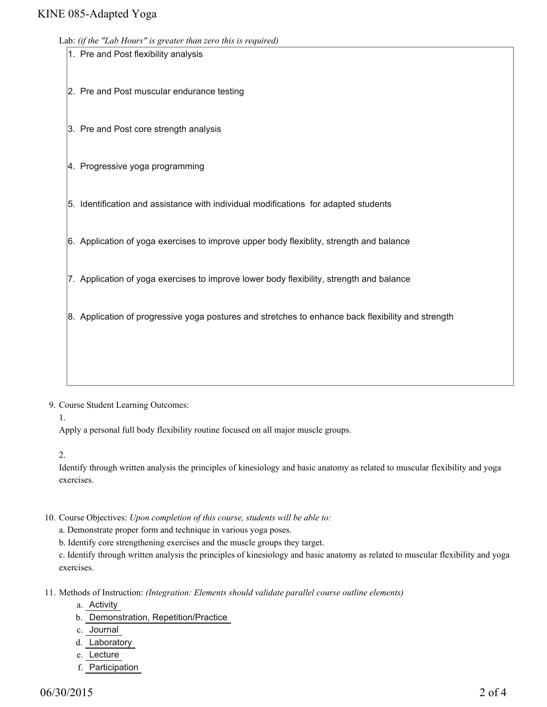### KINE 085-Adapted Yoga

Lab: *(if the "Lab Hours" is greater than zero this is required)*

| Lab: (if the "Lab Hours" is greater than zero this is required) |                                                                                                    |  |  |  |  |  |  |
|-----------------------------------------------------------------|----------------------------------------------------------------------------------------------------|--|--|--|--|--|--|
|                                                                 | 1. Pre and Post flexibility analysis                                                               |  |  |  |  |  |  |
|                                                                 | 2. Pre and Post muscular endurance testing                                                         |  |  |  |  |  |  |
|                                                                 | 3. Pre and Post core strength analysis                                                             |  |  |  |  |  |  |
|                                                                 | 4. Progressive yoga programming                                                                    |  |  |  |  |  |  |
|                                                                 | 5. Identification and assistance with individual modifications for adapted students                |  |  |  |  |  |  |
|                                                                 | 6. Application of yoga exercises to improve upper body flexiblity, strength and balance            |  |  |  |  |  |  |
|                                                                 | 7. Application of yoga exercises to improve lower body flexibility, strength and balance           |  |  |  |  |  |  |
|                                                                 | 8. Application of progressive yoga postures and stretches to enhance back flexibility and strength |  |  |  |  |  |  |
|                                                                 |                                                                                                    |  |  |  |  |  |  |
|                                                                 |                                                                                                    |  |  |  |  |  |  |

9. Course Student Learning Outcomes:

1.

Apply a personal full body flexibility routine focused on all major muscle groups.

2.

Identify through written analysis the principles of kinesiology and basic anatomy as related to muscular flexibility and yoga exercises.

- 10. Course Objectives: Upon completion of this course, students will be able to:
	- a. Demonstrate proper form and technique in various yoga poses.

b. Identify core strengthening exercises and the muscle groups they target.

c. Identify through written analysis the principles of kinesiology and basic anatomy as related to muscular flexibility and yoga exercises.

11. Methods of Instruction: *(Integration: Elements should validate parallel course outline elements)* 

- a. Activity
- b. Demonstration, Repetition/Practice
- c. Journal
- d. Laboratory
- e. Lecture
- f. Participation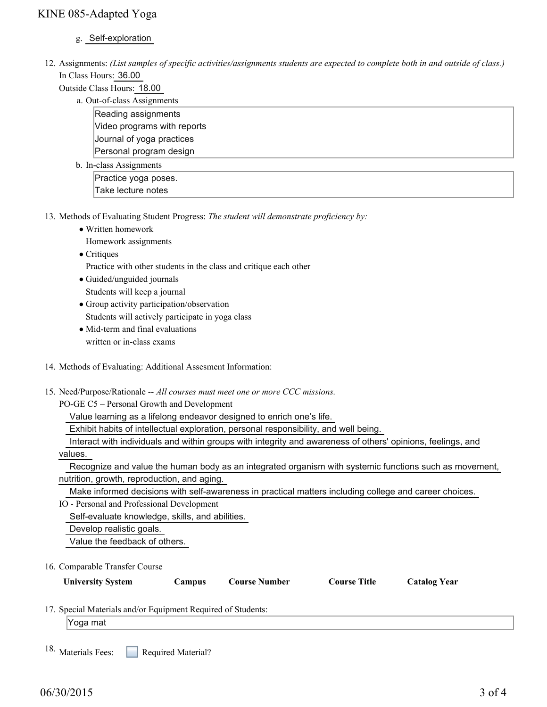## KINE 085-Adapted Yoga

- g. Self-exploration
- 12. Assignments: (List samples of specific activities/assignments students are expected to complete both in and outside of class.) In Class Hours: 36.00
	- Outside Class Hours: 18.00
		- a. Out-of-class Assignments

Reading assignments Video programs with reports Journal of yoga practices Personal program design

b. In-class Assignments

Practice yoga poses. Take lecture notes

- 13. Methods of Evaluating Student Progress: The student will demonstrate proficiency by:
	- Written homework

Homework assignments

• Critiques

Practice with other students in the class and critique each other

Guided/unguided journals

Students will keep a journal

- Group activity participation/observation Students will actively participate in yoga class
- Mid-term and final evaluations written or in-class exams
- 14. Methods of Evaluating: Additional Assesment Information:
- 15. Need/Purpose/Rationale -- All courses must meet one or more CCC missions.

PO-GE C5 – Personal Growth and Development

Value learning as a lifelong endeavor designed to enrich one's life.

Exhibit habits of intellectual exploration, personal responsibility, and well being.

- Interact with individuals and within groups with integrity and awareness of others' opinions, feelings, and
- values.

 Recognize and value the human body as an integrated organism with systemic functions such as movement, nutrition, growth, reproduction, and aging.

Make informed decisions with self-awareness in practical matters including college and career choices.

IO - Personal and Professional Development

Self-evaluate knowledge, skills, and abilities.

Develop realistic goals.

Value the feedback of others.

16. Comparable Transfer Course

| <b>University System</b>                                   | Campus | <b>Course Number</b> | <b>Course Title</b> | <b>Catalog Year</b> |  |
|------------------------------------------------------------|--------|----------------------|---------------------|---------------------|--|
| 7 Special Materials and/or Fournment Required of Students: |        |                      |                     |                     |  |

17. Special Materials and/or Equipment Required of Students:

Yoga mat

Required Material? 18. Materials Fees: